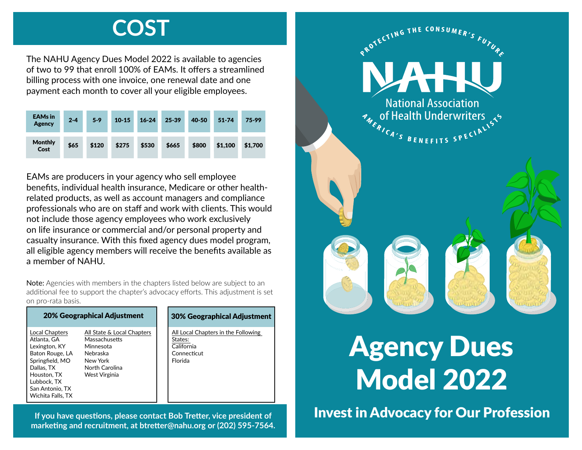## **COST**

The NAHU Agency Dues Model 2022 is available to agencies of two to 99 that enroll 100% of EAMs. It offers a streamlined billing process with one invoice, one renewal date and one payment each month to cover all your eligible employees.

| <b>EAMs</b> in<br>Agency | $2 - 4$ | $5-9$ | $10 - 15$ | $16 - 24$ | 25-39 | 40-50 | $51 - 74$ | 75-99   |
|--------------------------|---------|-------|-----------|-----------|-------|-------|-----------|---------|
| <b>Monthly</b><br>Cost   | \$65    | \$120 | \$275     | \$530     | \$665 | \$800 | \$1,100   | \$1,700 |

EAMs are producers in your agency who sell employee benefits, individual health insurance, Medicare or other healthrelated products, as well as account managers and compliance professionals who are on staff and work with clients. This would not include those agency employees who work exclusively on life insurance or commercial and/or personal property and casualty insurance. With this fixed agency dues model program, all eligible agency members will receive the benefits available as a member of NAHU.

Note: Agencies with members in the chapters listed below are subject to an additional fee to support the chapter's advocacy efforts. This adjustment is set on pro-rata basis.

| <b>20% Geographical Adjustment</b>                                                                                                                                       |                                                                                                                     |  | <b>30% Geographical Adjustment</b>                                                     |  |  |  |
|--------------------------------------------------------------------------------------------------------------------------------------------------------------------------|---------------------------------------------------------------------------------------------------------------------|--|----------------------------------------------------------------------------------------|--|--|--|
| Local Chapters<br>Atlanta, GA<br>Lexington, KY<br>Baton Rouge, LA<br>Springfield, MO<br>Dallas, TX<br>Houston, TX<br>Lubbock, TX<br>San Antonio. TX<br>Wichita Falls, TX | All State & Local Chapters<br>Massachusetts<br>Minnesota<br>Nebraska<br>New York<br>North Carolina<br>West Virginia |  | All Local Chapters in the Following<br>States:<br>California<br>Connecticut<br>Florida |  |  |  |

**marketing and recruitment, at btretter@nahu.org or (202) 595-7564.**



## Agency Dues Model 2022

**If you have questions, please contact Bob Tretter, vice president of** Invest in Advocacy for Our Profession